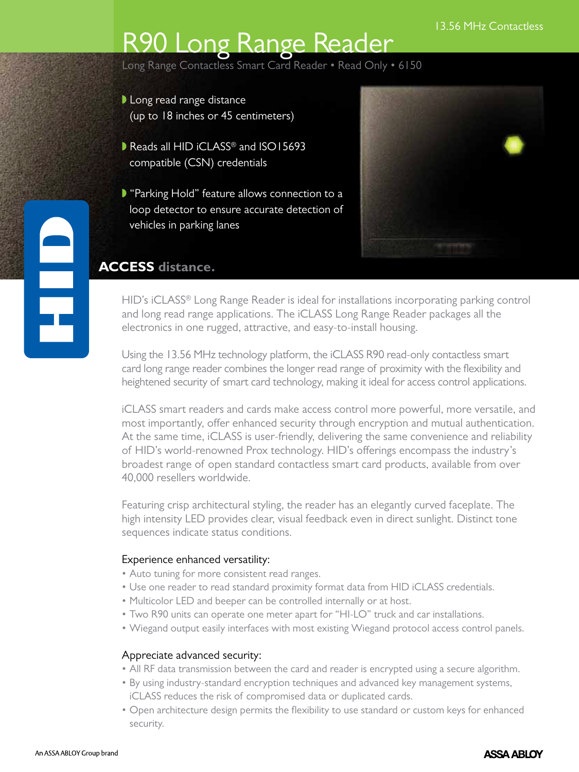# R90 Long Range Reader

Long Range Contactless Smart Card Reader • Read Only • 6150

- $\blacktriangleright$  Long read range distance (up to 18 inches or 45 centimeters)
- Reads all  $HID$  iCLASS<sup>®</sup> and  $ISO15693$ compatible (CSN) credentials
- **P** "Parking Hold" feature allows connection to a loop detector to ensure accurate detection of vehicles in parking lanes



## **ACCESS distance.**

HID's iCLASS<sup>®</sup> Long Range Reader is ideal for installations incorporating parking control and long read range applications. The iCLASS Long Range Reader packages all the electronics in one rugged, attractive, and easy-to-install housing.

Using the 13.56 MHz technology platform, the iCLASS R90 read-only contactless smart card long range reader combines the longer read range of proximity with the flexibility and heightened security of smart card technology, making it ideal for access control applications.

iCLASS smart readers and cards make access control more powerful, more versatile, and most importantly, offer enhanced security through encryption and mutual authentication. At the same time, iCLASS is user-friendly, delivering the same convenience and reliability of HID's world-renowned Prox technology. HID's offerings encompass the industry's broadest range of open standard contactless smart card products, available from over 40,000 resellers worldwide.

Featuring crisp architectural styling, the reader has an elegantly curved faceplate. The high intensity LED provides clear, visual feedback even in direct sunlight. Distinct tone sequences indicate status conditions.

### Experience enhanced versatility:

- Auto tuning for more consistent read ranges.
- • Use one reader to read standard proximity format data from HID iCLASS credentials.
- Multicolor LED and beeper can be controlled internally or at host.
- Two R90 units can operate one meter apart for "HI-LO" truck and car installations.
- • Wiegand output easily interfaces with most existing Wiegand protocol access control panels.

### Appreciate advanced security:

- All RF data transmission between the card and reader is encrypted using a secure algorithm.
- • By using industry-standard encryption techniques and advanced key management systems, iCLASS reduces the risk of compromised data or duplicated cards.
- • Open architecture design permits the flexibility to use standard or custom keys for enhanced security.

E